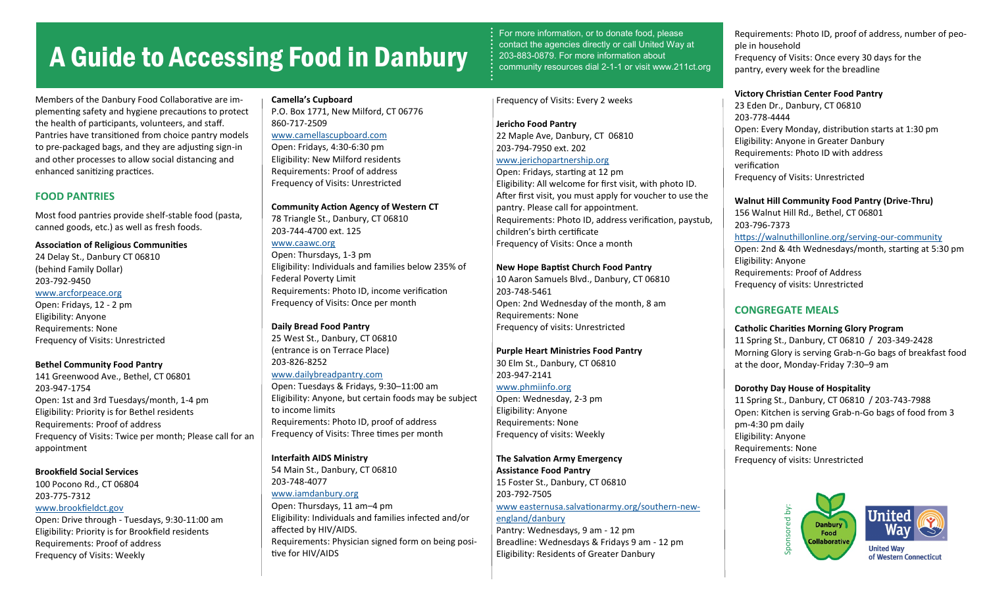# A Guide to Accessing Food in Danbury

Members of the Danbury Food Collaborative are implementing safety and hygiene precautions to protect the health of participants, volunteers, and staff. Pantries have transitioned from choice pantry models to pre-packaged bags, and they are adjusting sign-in and other processes to allow social distancing and enhanced sanitizing practices.

# **FOOD PANTRIES**

Most food pantries provide shelf-stable food (pasta, canned goods, etc.) as well as fresh foods.

## **Association of Religious Communities**

24 Delay St., Danbury CT 06810 (behind Family Dollar) 203-792-9450 [www.arcforpeace.org](https://www.arcforpeace.org/)

Open: Fridays, 12 - 2 pm Eligibility: Anyone Requirements: None Frequency of Visits: Unrestricted

## **Bethel Community Food Pantry**

141 Greenwood Ave., Bethel, CT 06801 203-947-1754 Open: 1st and 3rd Tuesdays/month, 1-4 pm Eligibility: Priority is for Bethel residents Requirements: Proof of address Frequency of Visits: Twice per month; Please call for an appointment

## **Brookfield Social Services**

100 Pocono Rd., CT 06804 203-775-7312 [www.brookfieldct.gov](https://www.brookfieldct.gov/social-services/pages/brookfield-food-pantry)

Open: Drive through - Tuesdays, 9:30-11:00 am Eligibility: Priority is for Brookfield residents Requirements: Proof of address Frequency of Visits: Weekly

# **Camella's Cupboard**

P.O. Box 1771, New Milford, CT 06776 860-717-2509 [www.camellascupboard.com](https://www.camellascupboard.com/) Open: Fridays, 4:30-6:30 pm Eligibility: New Milford residents Requirements: Proof of address

## **Community Action Agency of Western CT**

78 Triangle St., Danbury, CT 06810 203-744-4700 ext. 125

Frequency of Visits: Unrestricted

[www.caawc.org](https://caawc.org/) Open: Thursdays, 1-3 pm Eligibility: Individuals and families below 235% of Federal Poverty Limit Requirements: Photo ID, income verification Frequency of Visits: Once per month

#### **Daily Bread Food Pantry**

25 West St., Danbury, CT 06810 (entrance is on Terrace Place) 203-826-8252

#### [www.dailybreadpantry.com](https://www.dailybreadfoodpantry.com/)

Open: Tuesdays & Fridays, 9:30–11:00 am Eligibility: Anyone, but certain foods may be subject to income limits Requirements: Photo ID, proof of address Frequency of Visits: Three times per month

## **Interfaith AIDS Ministry**

54 Main St., Danbury, CT 06810 203-748-4077 [www.iamdanbury.org](https://iamdanbury.org/)

Open: Thursdays, 11 am–4 pm Eligibility: Individuals and families infected and/or affected by HIV/AIDS. Requirements: Physician signed form on being positive for HIV/AIDS

For more information, or to donate food, please contact the agencies directly or call United Way at 203-883-0879. For more information about community resources dial 2-1-1 or visit www.211ct.org

## Frequency of Visits: Every 2 weeks

**Jericho Food Pantry** 22 Maple Ave, Danbury, CT 06810 203-794-7950 ext. 202 [www.jerichopartnership.org](http://www.jerichopartnership.org/)

Open: Fridays, starting at 12 pm Eligibility: All welcome for first visit, with photo ID. After first visit, you must apply for voucher to use the pantry. Please call for appointment. Requirements: Photo ID, address verification, paystub, children's birth certificate Frequency of Visits: Once a month

## **New Hope Baptist Church Food Pantry**

10 Aaron Samuels Blvd., Danbury, CT 06810 203-748-5461 Open: 2nd Wednesday of the month, 8 am Requirements: None Frequency of visits: Unrestricted

#### **Purple Heart Ministries Food Pantry**

30 Elm St., Danbury, CT 06810 203-947-2141

#### [www.phmiinfo.org](http://www.phmiinfo.org)

Open: Wednesday, 2-3 pm Eligibility: Anyone Requirements: None Frequency of visits: Weekly

# **The Salvation Army Emergency**

**Assistance Food Pantry** 15 Foster St., Danbury, CT 06810 203-792-7505 [www easternusa.salvationarmy.org/southern](https://easternusa.salvationarmy.org/southern-new-england/danbury)-new[england/danbury](https://easternusa.salvationarmy.org/southern-new-england/danbury) Pantry: Wednesdays, 9 am - 12 pm

Breadline: Wednesdays & Fridays 9 am - 12 pm Eligibility: Residents of Greater Danbury

Requirements: Photo ID, proof of address, number of people in household Frequency of Visits: Once every 30 days for the pantry, every week for the breadline

#### **Victory Christian Center Food Pantry**

23 Eden Dr., Danbury, CT 06810 203-778-4444 Open: Every Monday, distribution starts at 1:30 pm Eligibility: Anyone in Greater Danbury Requirements: Photo ID with address verification Frequency of Visits: Unrestricted

# **Walnut Hill Community Food Pantry (Drive-Thru)**

156 Walnut Hill Rd., Bethel, CT 06801 203-796-7373 [https://walnuthillonline.org/serving](https://walnuthillonline.org/serving-our-community)-our-community Open: 2nd & 4th Wednesdays/month, starting at 5:30 pm Eligibility: Anyone Requirements: Proof of Address Frequency of visits: Unrestricted

# **CONGREGATE MEALS**

#### **Catholic Charities Morning Glory Program**

11 Spring St., Danbury, CT 06810 / 203-349-2428 Morning Glory is serving Grab-n-Go bags of breakfast food at the door, Monday-Friday 7:30–9 am

## **Dorothy Day House of Hospitality**

11 Spring St., Danbury, CT 06810 / 203-743-7988 Open: Kitchen is serving Grab-n-Go bags of food from 3 pm-4:30 pm daily Eligibility: Anyone Requirements: None Frequency of visits: Unrestricted